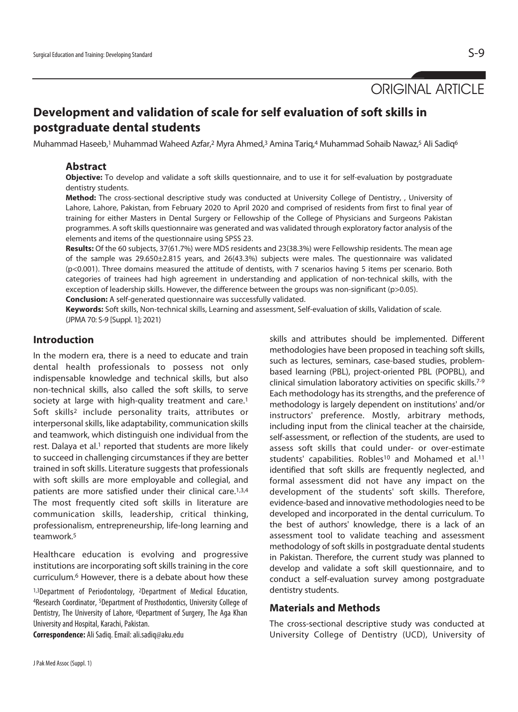ORIGINAL ARTICLE

# **Development and validation of scale for self evaluation of soft skills in postgraduate dental students**

Muhammad Haseeb,<sup>1</sup> Muhammad Waheed Azfar,<sup>2</sup> Myra Ahmed,<sup>3</sup> Amina Tariq,4 Muhammad Sohaib Nawaz,<sup>5</sup> Ali Sadiq<sup>6</sup>

## **Abstract**

**Objective:** To develop and validate a soft skills questionnaire, and to use it for self-evaluation by postgraduate dentistry students.

**Method:** The cross-sectional descriptive study was conducted at University College of Dentistry, , University of Lahore, Lahore, Pakistan, from February 2020 to April 2020 and comprised of residents from first to final year of training for either Masters in Dental Surgery or Fellowship of the College of Physicians and Surgeons Pakistan programmes. A soft skills questionnaire was generated and was validated through exploratory factor analysis of the elements and items of the questionnaire using SPSS 23.

**Results:** Of the 60 subjects, 37(61.7%) were MDS residents and 23(38.3%) were Fellowship residents. The mean age of the sample was 29.650±2.815 years, and 26(43.3%) subjects were males. The questionnaire was validated (p<0.001). Three domains measured the attitude of dentists, with 7 scenarios having 5 items per scenario. Both categories of trainees had high agreement in understanding and application of non-technical skills, with the exception of leadership skills. However, the difference between the groups was non-significant (p>0.05).

**Conclusion:** A self-generated questionnaire was successfully validated.

**Keywords:** Soft skills, Non-technical skills, Learning and assessment, Self-evaluation of skills, Validation of scale. (JPMA 70: S-9 [Suppl. 1]; 2021)

## **Introduction**

In the modern era, there is a need to educate and train dental health professionals to possess not only indispensable knowledge and technical skills, but also non-technical skills, also called the soft skills, to serve society at large with high-quality treatment and care.<sup>1</sup> Soft skills2 include personality traits, attributes or interpersonal skills, like adaptability, communication skills and teamwork, which distinguish one individual from the rest. Dalaya et al.<sup>1</sup> reported that students are more likely to succeed in challenging circumstances if they are better trained in soft skills. Literature suggests that professionals with soft skills are more employable and collegial, and patients are more satisfied under their clinical care.<sup>1,3,4</sup> The most frequently cited soft skills in literature are communication skills, leadership, critical thinking, professionalism, entrepreneurship, life-long learning and teamwork.5

Healthcare education is evolving and progressive institutions are incorporating soft skills training in the core curriculum.6 However, there is a debate about how these

1,3Department of Periodontology, <sup>2</sup>Department of Medical Education, 4Research Coordinator, 5Department of Prosthodontics, University College of Dentistry, The University of Lahore, <sup>6</sup>Department of Surgery, The Aga Khan University and Hospital, Karachi, Pakistan.

**Correspondence:** Ali Sadiq. Email: ali.sadiq@aku.edu

skills and attributes should be implemented. Different methodologies have been proposed in teaching soft skills, such as lectures, seminars, case-based studies, problembased learning (PBL), project-oriented PBL (POPBL), and clinical simulation laboratory activities on specific skills.7-9 Each methodology has its strengths, and the preference of methodology is largely dependent on institutions' and/or instructors' preference. Mostly, arbitrary methods, including input from the clinical teacher at the chairside, self-assessment, or reflection of the students, are used to assess soft skills that could under- or over-estimate students' capabilities. Robles<sup>10</sup> and Mohamed et al.<sup>11</sup> identified that soft skills are frequently neglected, and formal assessment did not have any impact on the development of the students' soft skills. Therefore, evidence-based and innovative methodologies need to be developed and incorporated in the dental curriculum. To the best of authors' knowledge, there is a lack of an assessment tool to validate teaching and assessment methodology of soft skills in postgraduate dental students in Pakistan. Therefore, the current study was planned to develop and validate a soft skill questionnaire, and to conduct a self-evaluation survey among postgraduate dentistry students.

## **Materials and Methods**

The cross-sectional descriptive study was conducted at University College of Dentistry (UCD), University of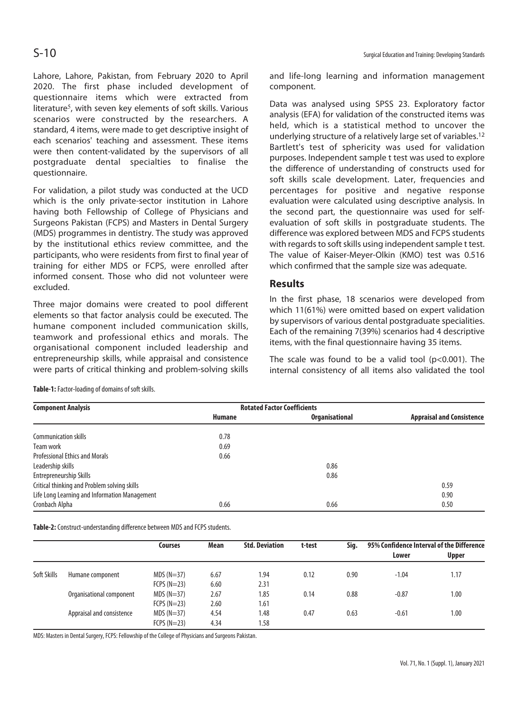Lahore, Lahore, Pakistan, from February 2020 to April 2020. The first phase included development of questionnaire items which were extracted from literature<sup>5</sup>, with seven key elements of soft skills. Various scenarios were constructed by the researchers. A standard, 4 items, were made to get descriptive insight of each scenarios' teaching and assessment. These items were then content-validated by the supervisors of all postgraduate dental specialties to finalise the questionnaire.

For validation, a pilot study was conducted at the UCD which is the only private-sector institution in Lahore having both Fellowship of College of Physicians and Surgeons Pakistan (FCPS) and Masters in Dental Surgery (MDS) programmes in dentistry. The study was approved by the institutional ethics review committee, and the participants, who were residents from first to final year of training for either MDS or FCPS, were enrolled after informed consent. Those who did not volunteer were excluded.

Three major domains were created to pool different elements so that factor analysis could be executed. The humane component included communication skills, teamwork and professional ethics and morals. The organisational component included leadership and entrepreneurship skills, while appraisal and consistence were parts of critical thinking and problem-solving skills

**Table-1:** Factor-loading of domains of soft skills.

 $S-10$ 

and life-long learning and information management component.

Data was analysed using SPSS 23. Exploratory factor analysis (EFA) for validation of the constructed items was held, which is a statistical method to uncover the underlying structure of a relatively large set of variables.12 Bartlett's test of sphericity was used for validation purposes. Independent sample t test was used to explore the difference of understanding of constructs used for soft skills scale development. Later, frequencies and percentages for positive and negative response evaluation were calculated using descriptive analysis. In the second part, the questionnaire was used for selfevaluation of soft skills in postgraduate students. The difference was explored between MDS and FCPS students with regards to soft skills using independent sample t test. The value of Kaiser-Meyer-Olkin (KMO) test was 0.516 which confirmed that the sample size was adequate.

### **Results**

In the first phase, 18 scenarios were developed from which 11(61%) were omitted based on expert validation by supervisors of various dental postgraduate specialities. Each of the remaining 7(39%) scenarios had 4 descriptive items, with the final questionnaire having 35 items.

The scale was found to be a valid tool  $(p<0.001)$ . The internal consistency of all items also validated the tool

| <b>Component Analysis</b>                     | <b>Rotated Factor Coefficients</b> |                       |                                  |
|-----------------------------------------------|------------------------------------|-----------------------|----------------------------------|
|                                               | <b>Humane</b>                      | <b>Organisational</b> | <b>Appraisal and Consistence</b> |
| Communication skills                          | 0.78                               |                       |                                  |
| Team work                                     | 0.69                               |                       |                                  |
| <b>Professional Ethics and Morals</b>         | 0.66                               |                       |                                  |
| Leadership skills                             |                                    | 0.86                  |                                  |
| Entrepreneurship Skills                       |                                    | 0.86                  |                                  |
| Critical thinking and Problem solving skills  |                                    |                       | 0.59                             |
| Life Long Learning and Information Management |                                    |                       | 0.90                             |
| Cronbach Alpha                                | 0.66                               | 0.66                  | 0.50                             |

**Table-2:** Construct-understanding difference between MDS and FCPS students.

|             |                           | <b>Courses</b> | Mean | <b>Std. Deviation</b> | t-test | Sig. | 95% Confidence Interval of the Difference<br>Lower | <b>Upper</b> |
|-------------|---------------------------|----------------|------|-----------------------|--------|------|----------------------------------------------------|--------------|
| Soft Skills | Humane component          | $MDS(N=37)$    | 6.67 | 1.94                  | 0.12   | 0.90 | $-1.04$                                            | 1.17         |
|             |                           | $FCPS (N=23)$  | 6.60 | 2.31                  |        |      |                                                    |              |
|             | Organisational component  | $MDS(N=37)$    | 2.67 | 1.85                  | 0.14   | 0.88 | $-0.87$                                            | 1.00         |
|             |                           | $FCPS (N=23)$  | 2.60 | 1.61                  |        |      |                                                    |              |
|             | Appraisal and consistence | $MDS(N=37)$    | 4.54 | 1.48                  | 0.47   | 0.63 | $-0.61$                                            | 1.00         |
|             |                           | $FCPS(N=23)$   | 4.34 | 1.58                  |        |      |                                                    |              |

MDS: Masters in Dental Surgery, FCPS: Fellowship of the College of Physicians and Surgeons Pakistan.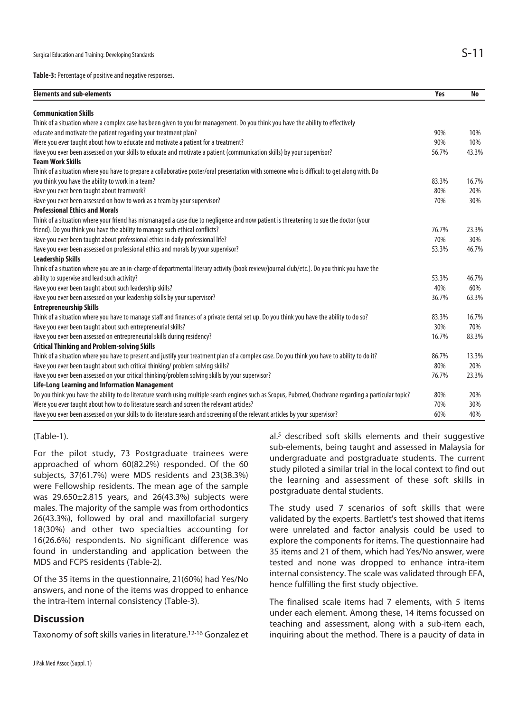**Table-3:** Percentage of positive and negative responses.

| <b>Elements and sub-elements</b>                                                                                                                        | <b>Yes</b> | <b>No</b> |
|---------------------------------------------------------------------------------------------------------------------------------------------------------|------------|-----------|
| <b>Communication Skills</b>                                                                                                                             |            |           |
| Think of a situation where a complex case has been given to you for management. Do you think you have the ability to effectively                        |            |           |
| educate and motivate the patient regarding your treatment plan?                                                                                         | 90%        | 10%       |
| Were you ever taught about how to educate and motivate a patient for a treatment?                                                                       | 90%        | 10%       |
| Have you ever been assessed on your skills to educate and motivate a patient (communication skills) by your supervisor?                                 | 56.7%      | 43.3%     |
| <b>Team Work Skills</b>                                                                                                                                 |            |           |
| Think of a situation where you have to prepare a collaborative poster/oral presentation with someone who is difficult to get along with. Do             |            |           |
| you think you have the ability to work in a team?                                                                                                       | 83.3%      | 16.7%     |
| Have you ever been taught about teamwork?                                                                                                               | 80%        | 20%       |
| Have you ever been assessed on how to work as a team by your supervisor?                                                                                | 70%        | 30%       |
| <b>Professional Ethics and Morals</b>                                                                                                                   |            |           |
| Think of a situation where your friend has mismanaged a case due to negligence and now patient is threatening to sue the doctor (your                   |            |           |
| friend). Do you think you have the ability to manage such ethical conflicts?                                                                            | 76.7%      | 23.3%     |
| Have you ever been taught about professional ethics in daily professional life?                                                                         | 70%        | 30%       |
| Have you ever been assessed on professional ethics and morals by your supervisor?                                                                       | 53.3%      | 46.7%     |
| <b>Leadership Skills</b>                                                                                                                                |            |           |
| Think of a situation where you are an in-charge of departmental literary activity (book review/journal club/etc.). Do you think you have the            |            |           |
| ability to supervise and lead such activity?                                                                                                            | 53.3%      | 46.7%     |
| Have you ever been taught about such leadership skills?                                                                                                 | 40%        | 60%       |
| Have you ever been assessed on your leadership skills by your supervisor?                                                                               | 36.7%      | 63.3%     |
| <b>Entrepreneurship Skills</b>                                                                                                                          |            |           |
| Think of a situation where you have to manage staff and finances of a private dental set up. Do you think you have the ability to do so?                | 83.3%      | 16.7%     |
| Have you ever been taught about such entrepreneurial skills?                                                                                            | 30%        | 70%       |
| Have you ever been assessed on entrepreneurial skills during residency?                                                                                 | 16.7%      | 83.3%     |
| <b>Critical Thinking and Problem-solving Skills</b>                                                                                                     |            |           |
| Think of a situation where you have to present and justify your treatment plan of a complex case. Do you think you have to ability to do it?            | 86.7%      | 13.3%     |
| Have you ever been taught about such critical thinking/ problem solving skills?                                                                         | 80%        | 20%       |
| Have you ever been assessed on your critical thinking/problem solving skills by your supervisor?                                                        | 76.7%      | 23.3%     |
| Life-Long Learning and Information Management                                                                                                           |            |           |
| Do you think you have the ability to do literature search using multiple search engines such as Scopus, Pubmed, Chochrane regarding a particular topic? | 80%        | 20%       |
| Were you ever taught about how to do literature search and screen the relevant articles?                                                                | 70%        | 30%       |
| Have you ever been assessed on your skills to do literature search and screening of the relevant articles by your supervisor?                           | 60%        | 40%       |

(Table-1).

For the pilot study, 73 Postgraduate trainees were approached of whom 60(82.2%) responded. Of the 60 subjects, 37(61.7%) were MDS residents and 23(38.3%) were Fellowship residents. The mean age of the sample was 29.650±2.815 years, and 26(43.3%) subjects were males. The majority of the sample was from orthodontics 26(43.3%), followed by oral and maxillofacial surgery 18(30%) and other two specialties accounting for 16(26.6%) respondents. No significant difference was found in understanding and application between the MDS and FCPS residents (Table-2).

Of the 35 items in the questionnaire, 21(60%) had Yes/No answers, and none of the items was dropped to enhance the intra-item internal consistency (Table-3).

### **Discussion**

Taxonomy of soft skills varies in literature.12-16 Gonzalez et

al.<sup>5</sup> described soft skills elements and their suggestive sub-elements, being taught and assessed in Malaysia for undergraduate and postgraduate students. The current study piloted a similar trial in the local context to find out the learning and assessment of these soft skills in postgraduate dental students.

The study used 7 scenarios of soft skills that were validated by the experts. Bartlett's test showed that items were unrelated and factor analysis could be used to explore the components for items. The questionnaire had 35 items and 21 of them, which had Yes/No answer, were tested and none was dropped to enhance intra-item internal consistency. The scale was validated through EFA, hence fulfilling the first study objective.

The finalised scale items had 7 elements, with 5 items under each element. Among these, 14 items focussed on teaching and assessment, along with a sub-item each, inquiring about the method. There is a paucity of data in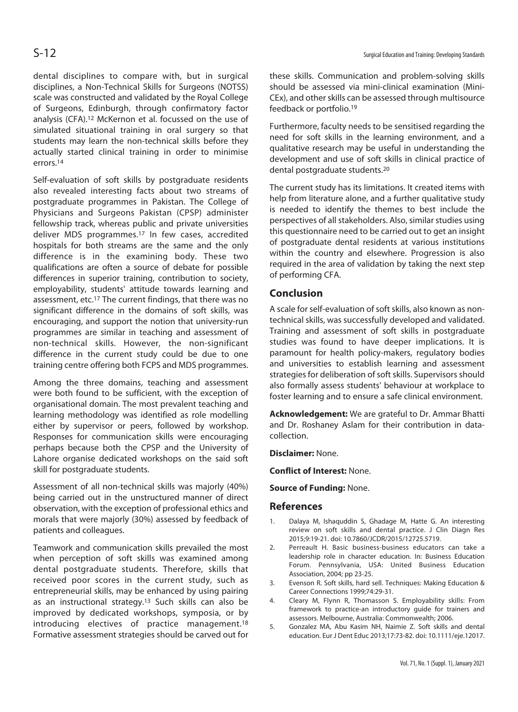dental disciplines to compare with, but in surgical disciplines, a Non-Technical Skills for Surgeons (NOTSS) scale was constructed and validated by the Royal College of Surgeons, Edinburgh, through confirmatory factor analysis (CFA).12 McKernon et al. focussed on the use of simulated situational training in oral surgery so that students may learn the non-technical skills before they actually started clinical training in order to minimise errors.14

Self-evaluation of soft skills by postgraduate residents also revealed interesting facts about two streams of postgraduate programmes in Pakistan. The College of Physicians and Surgeons Pakistan (CPSP) administer fellowship track, whereas public and private universities deliver MDS programmes.17 In few cases, accredited hospitals for both streams are the same and the only difference is in the examining body. These two qualifications are often a source of debate for possible differences in superior training, contribution to society, employability, students' attitude towards learning and assessment, etc.17 The current findings, that there was no significant difference in the domains of soft skills, was encouraging, and support the notion that university-run programmes are similar in teaching and assessment of non-technical skills. However, the non-significant difference in the current study could be due to one training centre offering both FCPS and MDS programmes.

Among the three domains, teaching and assessment were both found to be sufficient, with the exception of organisational domain. The most prevalent teaching and learning methodology was identified as role modelling either by supervisor or peers, followed by workshop. Responses for communication skills were encouraging perhaps because both the CPSP and the University of Lahore organise dedicated workshops on the said soft skill for postgraduate students.

Assessment of all non-technical skills was majorly (40%) being carried out in the unstructured manner of direct observation, with the exception of professional ethics and morals that were majorly (30%) assessed by feedback of patients and colleagues.

Teamwork and communication skills prevailed the most when perception of soft skills was examined among dental postgraduate students. Therefore, skills that received poor scores in the current study, such as entrepreneurial skills, may be enhanced by using pairing as an instructional strategy.13 Such skills can also be improved by dedicated workshops, symposia, or by introducing electives of practice management.18 Formative assessment strategies should be carved out for

these skills. Communication and problem-solving skills should be assessed via mini-clinical examination (Mini-CEx), and other skills can be assessed through multisource feedback or portfolio.19

Furthermore, faculty needs to be sensitised regarding the need for soft skills in the learning environment, and a qualitative research may be useful in understanding the development and use of soft skills in clinical practice of dental postgraduate students.20

The current study has its limitations. It created items with help from literature alone, and a further qualitative study is needed to identify the themes to best include the perspectives of all stakeholders. Also, similar studies using this questionnaire need to be carried out to get an insight of postgraduate dental residents at various institutions within the country and elsewhere. Progression is also required in the area of validation by taking the next step of performing CFA.

# **Conclusion**

A scale for self-evaluation of soft skills, also known as nontechnical skills, was successfully developed and validated. Training and assessment of soft skills in postgraduate studies was found to have deeper implications. It is paramount for health policy-makers, regulatory bodies and universities to establish learning and assessment strategies for deliberation of soft skills. Supervisors should also formally assess students' behaviour at workplace to foster learning and to ensure a safe clinical environment.

**Acknowledgement:** We are grateful to Dr. Ammar Bhatti and Dr. Roshaney Aslam for their contribution in datacollection.

**Disclaimer:** None.

**Conflict of Interest:** None.

**Source of Funding:** None.

### **References**

- 1. Dalaya M, Ishaquddin S, Ghadage M, Hatte G. An interesting review on soft skills and dental practice. J Clin Diagn Res 2015;9:19-21. doi: 10.7860/JCDR/2015/12725.5719.
- 2. Perreault H. Basic business-business educators can take a leadership role in character education. In: Business Education Forum. Pennsylvania, USA: United Business Education Association, 2004; pp 23-25.
- 3. Evenson R. Soft skills, hard sell. Techniques: Making Education & Career Connections 1999;74:29-31.
- 4. Cleary M, Flynn R, Thomasson S. Employability skills: From framework to practice-an introductory guide for trainers and assessors. Melbourne, Australia: Commonwealth; 2006.
- 5. Gonzalez MA, Abu Kasim NH, Naimie Z. Soft skills and dental education. Eur J Dent Educ 2013;17:73-82. doi: 10.1111/eje.12017.